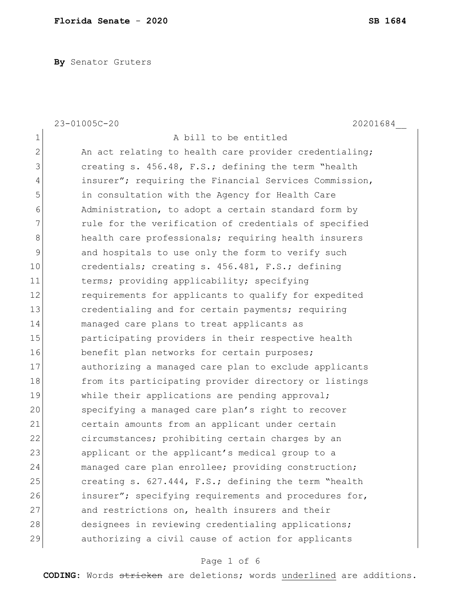**By** Senator Gruters

| $\mathbf 1$<br>A bill to be entitled<br>$\mathbf{2}$<br>An act relating to health care provider credentialing;<br>3<br>creating s. 456.48, F.S.; defining the term "health<br>4<br>insurer"; requiring the Financial Services Commission,<br>5<br>in consultation with the Agency for Health Care<br>6<br>Administration, to adopt a certain standard form by<br>7<br>rule for the verification of credentials of specified<br>8<br>health care professionals; requiring health insurers<br>9<br>and hospitals to use only the form to verify such<br>10<br>credentials; creating s. 456.481, F.S.; defining<br>11<br>terms; providing applicability; specifying<br>12<br>requirements for applicants to qualify for expedited<br>13<br>credentialing and for certain payments; requiring<br>14<br>managed care plans to treat applicants as<br>15<br>participating providers in their respective health<br>16<br>benefit plan networks for certain purposes;<br>17<br>authorizing a managed care plan to exclude applicants<br>18<br>from its participating provider directory or listings<br>19<br>while their applications are pending approval;<br>20<br>specifying a managed care plan's right to recover<br>21<br>certain amounts from an applicant under certain<br>22<br>circumstances; prohibiting certain charges by an<br>23<br>applicant or the applicant's medical group to a | 20201684 |
|--------------------------------------------------------------------------------------------------------------------------------------------------------------------------------------------------------------------------------------------------------------------------------------------------------------------------------------------------------------------------------------------------------------------------------------------------------------------------------------------------------------------------------------------------------------------------------------------------------------------------------------------------------------------------------------------------------------------------------------------------------------------------------------------------------------------------------------------------------------------------------------------------------------------------------------------------------------------------------------------------------------------------------------------------------------------------------------------------------------------------------------------------------------------------------------------------------------------------------------------------------------------------------------------------------------------------------------------------------------------------------------------|----------|
|                                                                                                                                                                                                                                                                                                                                                                                                                                                                                                                                                                                                                                                                                                                                                                                                                                                                                                                                                                                                                                                                                                                                                                                                                                                                                                                                                                                            |          |
|                                                                                                                                                                                                                                                                                                                                                                                                                                                                                                                                                                                                                                                                                                                                                                                                                                                                                                                                                                                                                                                                                                                                                                                                                                                                                                                                                                                            |          |
|                                                                                                                                                                                                                                                                                                                                                                                                                                                                                                                                                                                                                                                                                                                                                                                                                                                                                                                                                                                                                                                                                                                                                                                                                                                                                                                                                                                            |          |
|                                                                                                                                                                                                                                                                                                                                                                                                                                                                                                                                                                                                                                                                                                                                                                                                                                                                                                                                                                                                                                                                                                                                                                                                                                                                                                                                                                                            |          |
|                                                                                                                                                                                                                                                                                                                                                                                                                                                                                                                                                                                                                                                                                                                                                                                                                                                                                                                                                                                                                                                                                                                                                                                                                                                                                                                                                                                            |          |
|                                                                                                                                                                                                                                                                                                                                                                                                                                                                                                                                                                                                                                                                                                                                                                                                                                                                                                                                                                                                                                                                                                                                                                                                                                                                                                                                                                                            |          |
|                                                                                                                                                                                                                                                                                                                                                                                                                                                                                                                                                                                                                                                                                                                                                                                                                                                                                                                                                                                                                                                                                                                                                                                                                                                                                                                                                                                            |          |
|                                                                                                                                                                                                                                                                                                                                                                                                                                                                                                                                                                                                                                                                                                                                                                                                                                                                                                                                                                                                                                                                                                                                                                                                                                                                                                                                                                                            |          |
|                                                                                                                                                                                                                                                                                                                                                                                                                                                                                                                                                                                                                                                                                                                                                                                                                                                                                                                                                                                                                                                                                                                                                                                                                                                                                                                                                                                            |          |
|                                                                                                                                                                                                                                                                                                                                                                                                                                                                                                                                                                                                                                                                                                                                                                                                                                                                                                                                                                                                                                                                                                                                                                                                                                                                                                                                                                                            |          |
|                                                                                                                                                                                                                                                                                                                                                                                                                                                                                                                                                                                                                                                                                                                                                                                                                                                                                                                                                                                                                                                                                                                                                                                                                                                                                                                                                                                            |          |
|                                                                                                                                                                                                                                                                                                                                                                                                                                                                                                                                                                                                                                                                                                                                                                                                                                                                                                                                                                                                                                                                                                                                                                                                                                                                                                                                                                                            |          |
|                                                                                                                                                                                                                                                                                                                                                                                                                                                                                                                                                                                                                                                                                                                                                                                                                                                                                                                                                                                                                                                                                                                                                                                                                                                                                                                                                                                            |          |
|                                                                                                                                                                                                                                                                                                                                                                                                                                                                                                                                                                                                                                                                                                                                                                                                                                                                                                                                                                                                                                                                                                                                                                                                                                                                                                                                                                                            |          |
|                                                                                                                                                                                                                                                                                                                                                                                                                                                                                                                                                                                                                                                                                                                                                                                                                                                                                                                                                                                                                                                                                                                                                                                                                                                                                                                                                                                            |          |
|                                                                                                                                                                                                                                                                                                                                                                                                                                                                                                                                                                                                                                                                                                                                                                                                                                                                                                                                                                                                                                                                                                                                                                                                                                                                                                                                                                                            |          |
|                                                                                                                                                                                                                                                                                                                                                                                                                                                                                                                                                                                                                                                                                                                                                                                                                                                                                                                                                                                                                                                                                                                                                                                                                                                                                                                                                                                            |          |
|                                                                                                                                                                                                                                                                                                                                                                                                                                                                                                                                                                                                                                                                                                                                                                                                                                                                                                                                                                                                                                                                                                                                                                                                                                                                                                                                                                                            |          |
|                                                                                                                                                                                                                                                                                                                                                                                                                                                                                                                                                                                                                                                                                                                                                                                                                                                                                                                                                                                                                                                                                                                                                                                                                                                                                                                                                                                            |          |
|                                                                                                                                                                                                                                                                                                                                                                                                                                                                                                                                                                                                                                                                                                                                                                                                                                                                                                                                                                                                                                                                                                                                                                                                                                                                                                                                                                                            |          |
|                                                                                                                                                                                                                                                                                                                                                                                                                                                                                                                                                                                                                                                                                                                                                                                                                                                                                                                                                                                                                                                                                                                                                                                                                                                                                                                                                                                            |          |
|                                                                                                                                                                                                                                                                                                                                                                                                                                                                                                                                                                                                                                                                                                                                                                                                                                                                                                                                                                                                                                                                                                                                                                                                                                                                                                                                                                                            |          |
|                                                                                                                                                                                                                                                                                                                                                                                                                                                                                                                                                                                                                                                                                                                                                                                                                                                                                                                                                                                                                                                                                                                                                                                                                                                                                                                                                                                            |          |
| 24<br>managed care plan enrollee; providing construction;                                                                                                                                                                                                                                                                                                                                                                                                                                                                                                                                                                                                                                                                                                                                                                                                                                                                                                                                                                                                                                                                                                                                                                                                                                                                                                                                  |          |
| 25<br>creating s. 627.444, F.S.; defining the term "health                                                                                                                                                                                                                                                                                                                                                                                                                                                                                                                                                                                                                                                                                                                                                                                                                                                                                                                                                                                                                                                                                                                                                                                                                                                                                                                                 |          |
| 26<br>insurer"; specifying requirements and procedures for,                                                                                                                                                                                                                                                                                                                                                                                                                                                                                                                                                                                                                                                                                                                                                                                                                                                                                                                                                                                                                                                                                                                                                                                                                                                                                                                                |          |
| 27<br>and restrictions on, health insurers and their                                                                                                                                                                                                                                                                                                                                                                                                                                                                                                                                                                                                                                                                                                                                                                                                                                                                                                                                                                                                                                                                                                                                                                                                                                                                                                                                       |          |
| 28<br>designees in reviewing credentialing applications;                                                                                                                                                                                                                                                                                                                                                                                                                                                                                                                                                                                                                                                                                                                                                                                                                                                                                                                                                                                                                                                                                                                                                                                                                                                                                                                                   |          |
| 29<br>authorizing a civil cause of action for applicants                                                                                                                                                                                                                                                                                                                                                                                                                                                                                                                                                                                                                                                                                                                                                                                                                                                                                                                                                                                                                                                                                                                                                                                                                                                                                                                                   |          |

# Page 1 of 6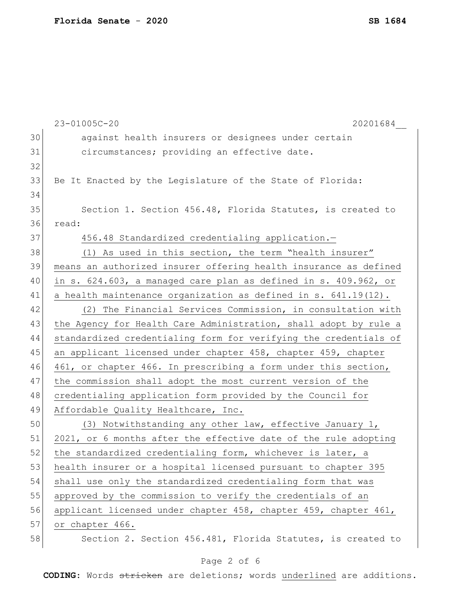|    | 23-01005C-20<br>20201684                                         |
|----|------------------------------------------------------------------|
| 30 | against health insurers or designees under certain               |
| 31 | circumstances; providing an effective date.                      |
| 32 |                                                                  |
| 33 | Be It Enacted by the Legislature of the State of Florida:        |
| 34 |                                                                  |
| 35 | Section 1. Section 456.48, Florida Statutes, is created to       |
| 36 | read:                                                            |
| 37 | 456.48 Standardized credentialing application.-                  |
| 38 | (1) As used in this section, the term "health insurer"           |
| 39 | means an authorized insurer offering health insurance as defined |
| 40 | in s. 624.603, a managed care plan as defined in s. 409.962, or  |
| 41 | a health maintenance organization as defined in s. 641.19(12).   |
| 42 | (2) The Financial Services Commission, in consultation with      |
| 43 | the Agency for Health Care Administration, shall adopt by rule a |
| 44 | standardized credentialing form for verifying the credentials of |
| 45 | an applicant licensed under chapter 458, chapter 459, chapter    |
| 46 | 461, or chapter 466. In prescribing a form under this section,   |
| 47 | the commission shall adopt the most current version of the       |
| 48 | credentialing application form provided by the Council for       |
| 49 | Affordable Quality Healthcare, Inc.                              |
| 50 | (3) Notwithstanding any other law, effective January 1,          |
| 51 | 2021, or 6 months after the effective date of the rule adopting  |
| 52 | the standardized credentialing form, whichever is later, a       |
| 53 | health insurer or a hospital licensed pursuant to chapter 395    |
| 54 | shall use only the standardized credentialing form that was      |
| 55 | approved by the commission to verify the credentials of an       |
| 56 | applicant licensed under chapter 458, chapter 459, chapter 461,  |
| 57 | or chapter 466.                                                  |
| 58 | Section 2. Section 456.481, Florida Statutes, is created to      |

# Page 2 of 6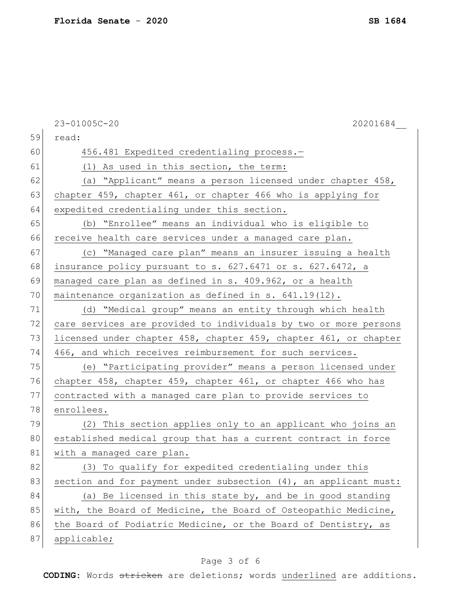|    | 23-01005C-20<br>20201684                                         |
|----|------------------------------------------------------------------|
| 59 | read:                                                            |
| 60 | 456.481 Expedited credentialing process.-                        |
| 61 | (1) As used in this section, the term:                           |
| 62 | (a) "Applicant" means a person licensed under chapter 458,       |
| 63 | chapter 459, chapter 461, or chapter 466 who is applying for     |
| 64 | expedited credentialing under this section.                      |
| 65 | (b) "Enrollee" means an individual who is eligible to            |
| 66 | receive health care services under a managed care plan.          |
| 67 | (c) "Managed care plan" means an insurer issuing a health        |
| 68 | insurance policy pursuant to s. 627.6471 or s. 627.6472, a       |
| 69 | managed care plan as defined in s. 409.962, or a health          |
| 70 | maintenance organization as defined in s. 641.19(12).            |
| 71 | (d) "Medical group" means an entity through which health         |
| 72 | care services are provided to individuals by two or more persons |
| 73 | licensed under chapter 458, chapter 459, chapter 461, or chapter |
| 74 | 466, and which receives reimbursement for such services.         |
| 75 | (e) "Participating provider" means a person licensed under       |
| 76 | chapter 458, chapter 459, chapter 461, or chapter 466 who has    |
| 77 | contracted with a managed care plan to provide services to       |
| 78 | enrollees.                                                       |
| 79 | (2) This section applies only to an applicant who joins an       |
| 80 | established medical group that has a current contract in force   |
| 81 | with a managed care plan.                                        |
| 82 | (3) To qualify for expedited credentialing under this            |
| 83 | section and for payment under subsection (4), an applicant must: |
| 84 | (a) Be licensed in this state by, and be in good standing        |
| 85 | with, the Board of Medicine, the Board of Osteopathic Medicine,  |
| 86 | the Board of Podiatric Medicine, or the Board of Dentistry, as   |
| 87 | applicable;                                                      |

# Page 3 of 6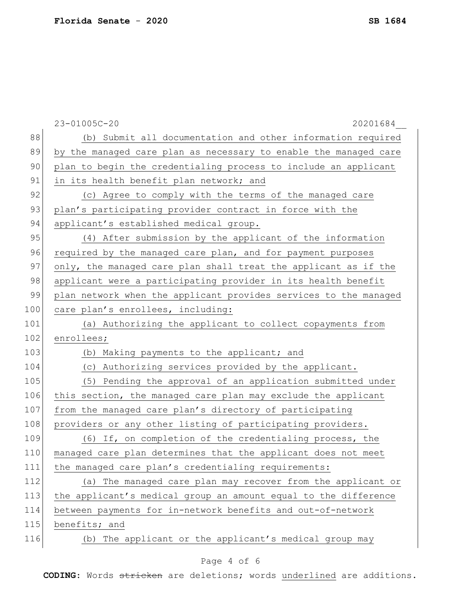|     | 23-01005C-20<br>20201684                                         |
|-----|------------------------------------------------------------------|
| 88  | (b) Submit all documentation and other information required      |
| 89  | by the managed care plan as necessary to enable the managed care |
| 90  | plan to begin the credentialing process to include an applicant  |
| 91  | in its health benefit plan network; and                          |
| 92  | (c) Agree to comply with the terms of the managed care           |
| 93  | plan's participating provider contract in force with the         |
| 94  | applicant's established medical group.                           |
| 95  | (4) After submission by the applicant of the information         |
| 96  | required by the managed care plan, and for payment purposes      |
| 97  | only, the managed care plan shall treat the applicant as if the  |
| 98  | applicant were a participating provider in its health benefit    |
| 99  | plan network when the applicant provides services to the managed |
| 100 | care plan's enrollees, including:                                |
| 101 | (a) Authorizing the applicant to collect copayments from         |
| 102 | enrollees;                                                       |
| 103 | (b) Making payments to the applicant; and                        |
| 104 | (c) Authorizing services provided by the applicant.              |
| 105 | (5) Pending the approval of an application submitted under       |
| 106 | this section, the managed care plan may exclude the applicant    |
| 107 | from the managed care plan's directory of participating          |
| 108 | providers or any other listing of participating providers.       |
| 109 | (6) If, on completion of the credentialing process, the          |
| 110 | managed care plan determines that the applicant does not meet    |
| 111 | the managed care plan's credentialing requirements:              |
| 112 | (a) The managed care plan may recover from the applicant or      |
| 113 | the applicant's medical group an amount equal to the difference  |
| 114 | between payments for in-network benefits and out-of-network      |
| 115 | benefits; and                                                    |
| 116 | (b) The applicant or the applicant's medical group may           |

# Page 4 of 6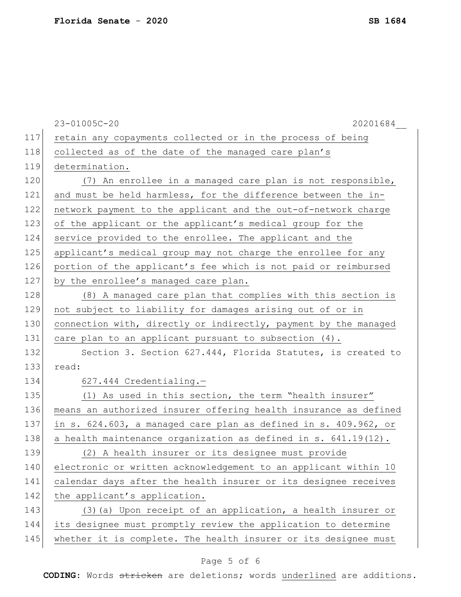|     | 23-01005C-20<br>20201684                                         |
|-----|------------------------------------------------------------------|
| 117 | retain any copayments collected or in the process of being       |
| 118 | collected as of the date of the managed care plan's              |
| 119 | determination.                                                   |
| 120 | (7) An enrollee in a managed care plan is not responsible,       |
| 121 | and must be held harmless, for the difference between the in-    |
| 122 | network payment to the applicant and the out-of-network charge   |
| 123 | of the applicant or the applicant's medical group for the        |
| 124 | service provided to the enrollee. The applicant and the          |
| 125 | applicant's medical group may not charge the enrollee for any    |
| 126 | portion of the applicant's fee which is not paid or reimbursed   |
| 127 | by the enrollee's managed care plan.                             |
| 128 | (8) A managed care plan that complies with this section is       |
| 129 | not subject to liability for damages arising out of or in        |
| 130 | connection with, directly or indirectly, payment by the managed  |
| 131 | care plan to an applicant pursuant to subsection (4).            |
| 132 | Section 3. Section 627.444, Florida Statutes, is created to      |
| 133 | read:                                                            |
| 134 | 627.444 Credentialing.-                                          |
| 135 | (1) As used in this section, the term "health insurer"           |
| 136 | means an authorized insurer offering health insurance as defined |
| 137 | in s. 624.603, a managed care plan as defined in s. 409.962, or  |
| 138 | a health maintenance organization as defined in s. 641.19(12).   |
| 139 | (2) A health insurer or its designee must provide                |
| 140 | electronic or written acknowledgement to an applicant within 10  |
| 141 | calendar days after the health insurer or its designee receives  |
| 142 | the applicant's application.                                     |
| 143 | (3) (a) Upon receipt of an application, a health insurer or      |
| 144 | its designee must promptly review the application to determine   |
| 145 | whether it is complete. The health insurer or its designee must  |
|     |                                                                  |

# Page 5 of 6